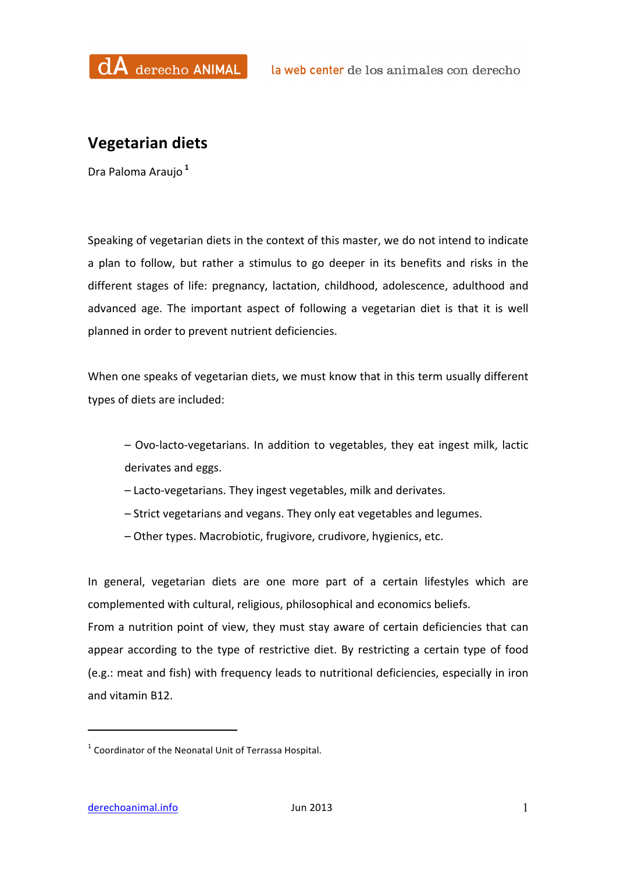

## **Vegetarian diets**

Dra Paloma Araujo **<sup>1</sup>**

Speaking of vegetarian diets in the context of this master, we do not intend to indicate a plan to follow, but rather a stimulus to go deeper in its benefits and risks in the different stages of life: pregnancy, lactation, childhood, adolescence, adulthood and advanced age. The important aspect of following a vegetarian diet is that it is well planned in order to prevent nutrient deficiencies.

When one speaks of vegetarian diets, we must know that in this term usually different types of diets are included:

– Ovo-lacto-vegetarians. In addition to vegetables, they eat ingest milk, lactic derivates and eggs.

- $-$  Lacto-vegetarians. They ingest vegetables, milk and derivates.
- Strict vegetarians and vegans. They only eat vegetables and legumes.
- Other types. Macrobiotic, frugivore, crudivore, hygienics, etc.

In general, vegetarian diets are one more part of a certain lifestyles which are complemented with cultural, religious, philosophical and economics beliefs. From a nutrition point of view, they must stay aware of certain deficiencies that can appear according to the type of restrictive diet. By restricting a certain type of food (e.g.: meat and fish) with frequency leads to nutritional deficiencies, especially in iron

 

and vitamin B12.

 $1$  Coordinator of the Neonatal Unit of Terrassa Hospital.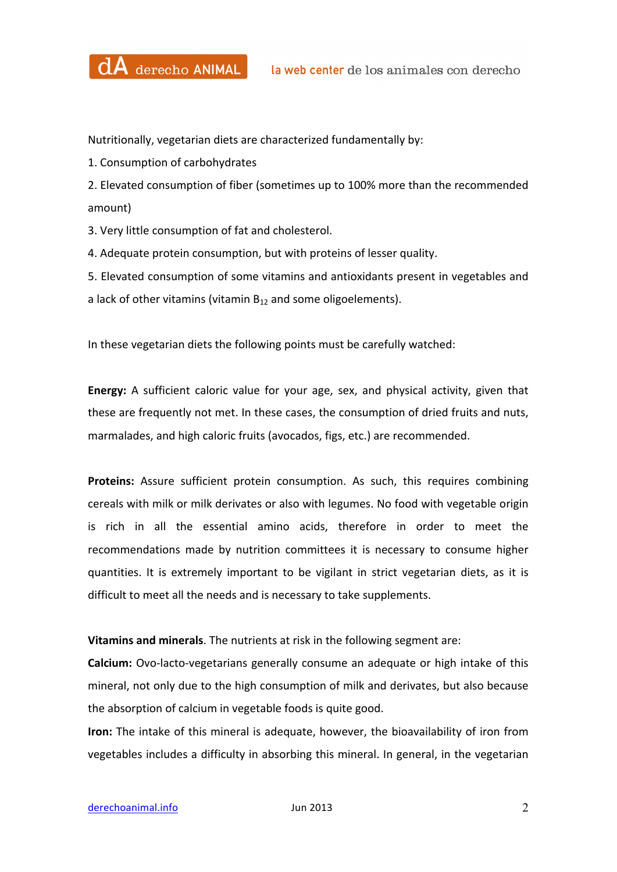

Nutritionally, vegetarian diets are characterized fundamentally by:

1. Consumption of carbohydrates

2. Elevated consumption of fiber (sometimes up to 100% more than the recommended amount)

3. Very little consumption of fat and cholesterol.

4. Adequate protein consumption, but with proteins of lesser quality.

5. Elevated consumption of some vitamins and antioxidants present in vegetables and a lack of other vitamins (vitamin  $B_{12}$  and some oligoelements).

In these vegetarian diets the following points must be carefully watched:

**Energy:** A sufficient caloric value for your age, sex, and physical activity, given that these are frequently not met. In these cases, the consumption of dried fruits and nuts, marmalades, and high caloric fruits (avocados, figs, etc.) are recommended.

**Proteins:** Assure sufficient protein consumption. As such, this requires combining cereals with milk or milk derivates or also with legumes. No food with vegetable origin is rich in all the essential amino acids, therefore in order to meet the recommendations made by nutrition committees it is necessary to consume higher quantities. It is extremely important to be vigilant in strict vegetarian diets, as it is difficult to meet all the needs and is necessary to take supplements.

**Vitamins and minerals**. The nutrients at risk in the following segment are:

**Calcium:** Ovo-lacto-vegetarians generally consume an adequate or high intake of this mineral, not only due to the high consumption of milk and derivates, but also because the absorption of calcium in vegetable foods is quite good.

**Iron:** The intake of this mineral is adequate, however, the bioavailability of iron from vegetables includes a difficulty in absorbing this mineral. In general, in the vegetarian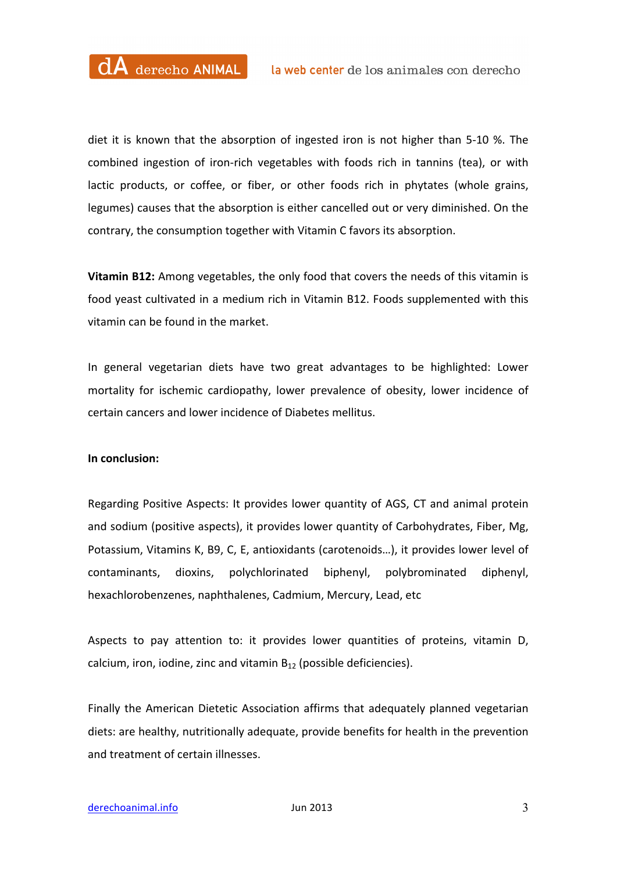diet it is known that the absorption of ingested iron is not higher than 5-10 %. The combined ingestion of iron-rich vegetables with foods rich in tannins (tea), or with lactic products, or coffee, or fiber, or other foods rich in phytates (whole grains, legumes) causes that the absorption is either cancelled out or very diminished. On the contrary, the consumption together with Vitamin C favors its absorption.

**Vitamin B12:** Among vegetables, the only food that covers the needs of this vitamin is food yeast cultivated in a medium rich in Vitamin B12. Foods supplemented with this vitamin can be found in the market.

In general vegetarian diets have two great advantages to be highlighted: Lower mortality for ischemic cardiopathy, lower prevalence of obesity, lower incidence of certain cancers and lower incidence of Diabetes mellitus.

## **In conclusion:**

Regarding Positive Aspects: It provides lower quantity of AGS, CT and animal protein and sodium (positive aspects), it provides lower quantity of Carbohydrates, Fiber, Mg, Potassium, Vitamins K, B9, C, E, antioxidants (carotenoids...), it provides lower level of contaminants, dioxins, polychlorinated biphenyl, polybrominated diphenyl, hexachlorobenzenes, naphthalenes, Cadmium, Mercury, Lead, etc

Aspects to pay attention to: it provides lower quantities of proteins, vitamin D, calcium, iron, iodine, zinc and vitamin  $B_{12}$  (possible deficiencies).

Finally the American Dietetic Association affirms that adequately planned vegetarian diets: are healthy, nutritionally adequate, provide benefits for health in the prevention and treatment of certain illnesses.